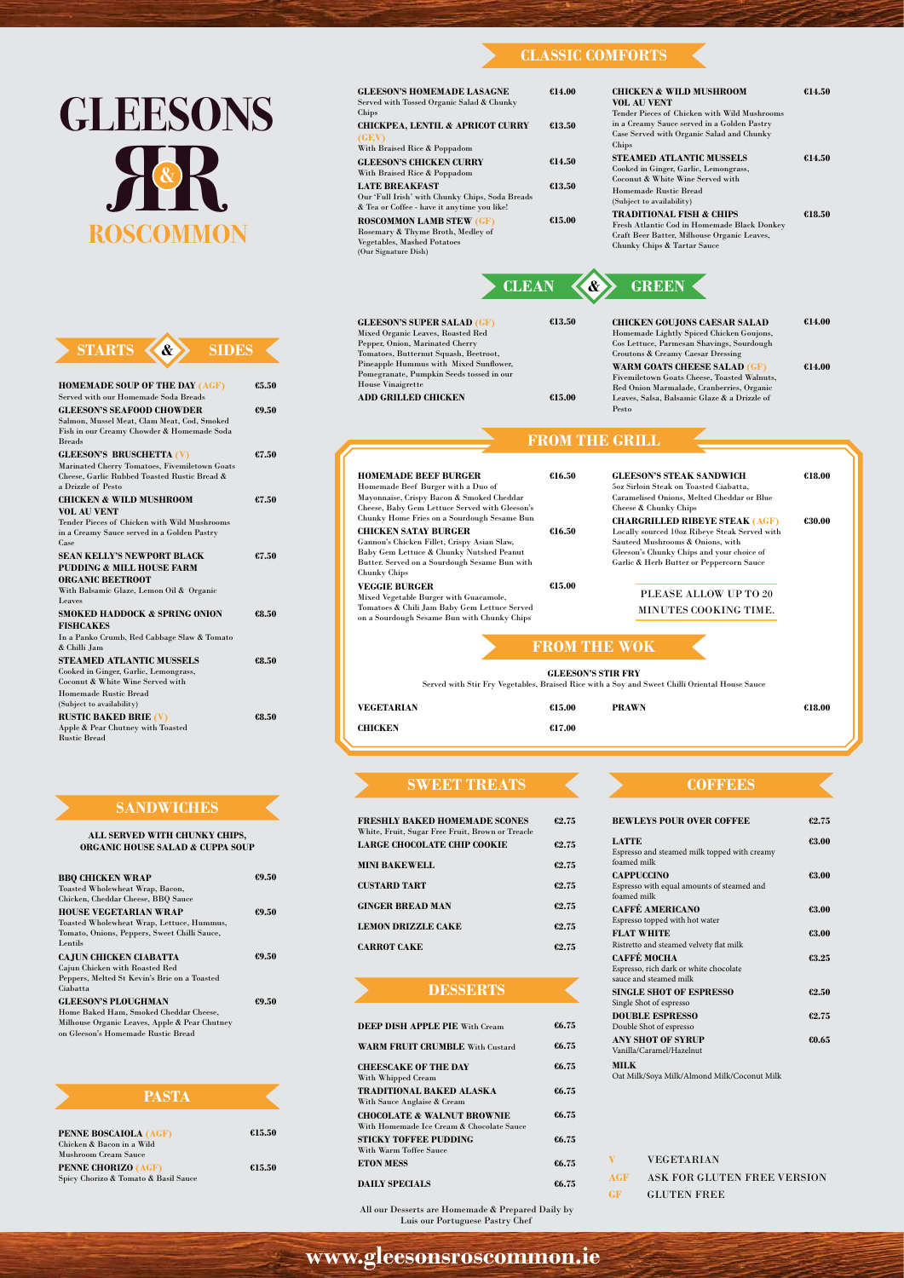**www.gleesonsroscommon.ie**

Espresso, rich dark or white chocolate suce and steamed milk

| <b>FRESHLY BAKED HOMEMADE SCONES</b><br>White, Fruit, Sugar Free Fruit, Brown or Treacle | 62.75 |
|------------------------------------------------------------------------------------------|-------|
| LARGE CHOCOLATE CHIP COOKIE                                                              | 62.75 |
| <b>MINI BAKEWELL</b>                                                                     | 62.75 |
| <b>CUSTARD TART</b>                                                                      | 62.75 |
| <b>GINGER BREAD MAN</b>                                                                  | 62.75 |
| <b>LEMON DRIZZLE CAKE</b>                                                                | 62.75 |
| <b>CARROT CAKE</b>                                                                       | 62.75 |

| <b>BEWLEYS POUR OVER COFFEE</b>                                                | 62.75 |
|--------------------------------------------------------------------------------|-------|
| <b>LATTE</b><br>Espresso and steamed milk topped with creamy<br>foamed milk    | €3.00 |
| <b>CAPPUCCINO</b><br>Espresso with equal amounts of steamed and<br>foamed milk | €3.00 |
| <b>CAFFÉ AMERICANO</b><br>Espresso topped with hot water                       | €3.00 |
| <b>FLAT WHITE</b><br>Ristretto and steamed velvety flat milk                   | €3.00 |
| <b>CAFFÉ MOCHA</b>                                                             |       |

| <b>DEEP DISH APPLE PIE With Cream</b>                                              | 66.75 |
|------------------------------------------------------------------------------------|-------|
| <b>WARM FRUIT CRUMBLE With Custard</b>                                             | 66.75 |
| <b>CHEESCAKE OF THE DAY</b><br>With Whipped Cream                                  | 66.75 |
| TRADITIONAL BAKED ALASKA<br>With Sauce Anglaise & Cream                            | 66.75 |
| <b>CHOCOLATE &amp; WALNUT BROWNIE</b><br>With Homemade Ice Cream & Chocolate Sauce | 66.75 |
| <b>STICKY TOFFEE PUDDING</b><br>With Warm Toffee Sauce                             | 66.75 |
| <b>ETON MESS</b>                                                                   | 66.75 |
| <b>DAILY SPECIALS</b>                                                              | €6.75 |

All our Desserts are Homemade & Prepared Daily by Luis our Portuguese Pastry Chef

| <b>GLEESONS</b>                                                                                                                                                  |                | <b>GLEESON'S HOMEMADE LASAGNE</b><br>Served with Tossed Organic Salad & Chunky<br>Chips<br><b>CHICKPEA, LENTIL &amp; APRICOT CURRY</b><br>(GF, V)<br>With Braised Rice & Poppadom            | €14.00<br>€13.50                                 | <b>CHICKEN &amp; WILD MUSHROOM</b><br><b>VOL AU VENT</b><br>Tender Pieces of Chicken with Wild Mushrooms<br>in a Creamy Sauce served in a Golden Pastry<br>Case Served with Organic Salad and Chunky<br>Chips | €14.50           |
|------------------------------------------------------------------------------------------------------------------------------------------------------------------|----------------|----------------------------------------------------------------------------------------------------------------------------------------------------------------------------------------------|--------------------------------------------------|---------------------------------------------------------------------------------------------------------------------------------------------------------------------------------------------------------------|------------------|
|                                                                                                                                                                  |                | <b>GLEESON'S CHICKEN CURRY</b><br>With Braised Rice & Poppadom<br><b>LATE BREAKFAST</b><br>Our 'Full Irish' with Chunky Chips, Soda Breads<br>& Tea or Coffee - have it anytime you like!    | €14.50<br>€13.50                                 | <b>STEAMED ATLANTIC MUSSELS</b><br>Cooked in Ginger, Garlic, Lemongrass,<br>Coconut & White Wine Served with<br>Homemade Rustic Bread<br>(Subject to availability)                                            | €14.50           |
| ROSCOMMON                                                                                                                                                        |                | <b>ROSCOMMON LAMB STEW (GF)</b><br>Rosemary & Thyme Broth, Medley of<br>Vegetables, Mashed Potatoes<br>(Our Signature Dish)                                                                  | €15.00                                           | <b>TRADITIONAL FISH &amp; CHIPS</b><br>Fresh Atlantic Cod in Homemade Black Donkey<br>Craft Beer Batter, Milhouse Organic Leaves,<br>Chunky Chips & Tartar Sauce                                              | €18.50           |
|                                                                                                                                                                  |                | <b>CLEAN</b>                                                                                                                                                                                 |                                                  | <b>GREEN</b>                                                                                                                                                                                                  |                  |
| <b>STARTS</b><br><b>SIDES</b><br>$\mathbf{\alpha}$                                                                                                               |                | <b>GLEESON'S SUPER SALAD (GF)</b><br>Mixed Organic Leaves, Roasted Red<br>Pepper, Onion, Marinated Cherry<br>Tomatoes, Butternut Squash, Beetroot,<br>Pineapple Hummus with Mixed Sunflower, | €13.50                                           | <b>CHICKEN GOUJONS CAESAR SALAD</b><br>Homemade Lightly Spiced Chicken Goujons,<br>Cos Lettuce, Parmesan Shavings, Sourdough<br>Croutons & Creamy Caesar Dressing<br><b>WARM GOATS CHEESE SALAD (GF)</b>      | €14.00<br>€14.00 |
| <b>HOMEMADE SOUP OF THE DAY (AGF)</b><br>Served with our Homemade Soda Breads<br><b>GLEESON'S SEAFOOD CHOWDER</b><br>Salmon, Mussel Meat, Clam Meat, Cod, Smoked | 65.50<br>69.50 | Pomegranate, Pumpkin Seeds tossed in our<br><b>House Vinaigrette</b><br><b>ADD GRILLED CHICKEN</b>                                                                                           | \$15.00                                          | Fivemiletown Goats Cheese, Toasted Walnuts,<br>Red Onion Marmalade, Cranberries, Organic<br>Leaves, Salsa, Balsamic Glaze & a Drizzle of<br>Pesto                                                             |                  |
| Fish in our Creamy Chowder & Homemade Soda<br><b>Breads</b>                                                                                                      |                |                                                                                                                                                                                              | <b>FROM THE GRILL</b>                            |                                                                                                                                                                                                               |                  |
| <b>GLEESON'S BRUSCHETTA (V)</b><br>Marinated Cherry Tomatoes, Fivemiletown Goats<br>Cheese, Garlic Rubbed Toasted Rustic Bread &<br>a Drizzle of Pesto           | €7.50          | <b>HOMEMADE BEEF BURGER</b><br>Homemade Beef Burger with a Duo of                                                                                                                            | €16.50                                           | <b>GLEESON'S STEAK SANDWICH</b><br>50z Sirloin Steak on Toasted Ciabatta.                                                                                                                                     | €18.00           |
| <b>CHICKEN &amp; WILD MUSHROOM</b><br><b>VOL AU VENT</b><br>Tender Pieces of Chicken with Wild Mushrooms<br>in a Creamy Sauce served in a Golden Pastry          | €7.50          | Mayonnaise, Crispy Bacon & Smoked Cheddar<br>Cheese, Baby Gem Lettuce Served with Gleeson's<br>Chunky Home Fries on a Sourdough Sesame Bun<br><b>CHICKEN SATAY BURGER</b>                    | €16.50                                           | Caramelised Onions, Melted Cheddar or Blue<br>Cheese & Chunky Chips<br><b>CHARGRILLED RIBEYE STEAK (AGF)</b><br>Locally sourced 10oz Ribeye Steak Served with<br>Sauteed Mushrooms & Onions, with             | €30.00           |
| Case<br><b>SEAN KELLY'S NEWPORT BLACK</b><br><b>PUDDING &amp; MILL HOUSE FARM</b><br><b>ORGANIC BEETROOT</b>                                                     | 67.50          | Gannon's Chicken Fillet, Crispy Asian Slaw,<br>Baby Gem Lettuce & Chunky Nutshed Peanut<br>Butter. Served on a Sourdough Sesame Bun with<br><b>Chunky Chips</b>                              |                                                  | Gleeson's Chunky Chips and your choice of<br>Garlic $\&$ Herb Butter or Peppercorn Sauce                                                                                                                      |                  |
| With Balsamic Glaze, Lemon Oil & Organic<br>Leaves                                                                                                               |                | <b>VEGGIE BURGER</b><br>Mixed Vegetable Burger with Guacamole,                                                                                                                               | €15.00                                           | PLEASE ALLOW UP TO 20                                                                                                                                                                                         |                  |
| <b>SMOKED HADDOCK &amp; SPRING ONION</b><br><b>FISHCAKES</b><br>In a Panko Crumb, Red Cabbage Slaw & Tomato                                                      | €8.50          | Tomatoes & Chili Jam Baby Gem Lettuce Served<br>on a Sourdough Sesame Bun with Chunky Chips                                                                                                  |                                                  | MINUTES COOKING TIME.                                                                                                                                                                                         |                  |
| & Chilli Jam<br><b>STEAMED ATLANTIC MUSSELS</b><br>Cooked in Ginger, Garlic, Lemongrass,<br>Coconut & White Wine Served with                                     | 68.50          |                                                                                                                                                                                              | <b>FROM THE WOK</b><br><b>GLEESON'S STIR FRY</b> | Served with Stir Fry Vegetables, Braised Rice with a Soy and Sweet Chilli Oriental House Sauce                                                                                                                |                  |
| Homemade Rustic Bread<br>(Subject to availability)                                                                                                               |                | VEGETARIAN                                                                                                                                                                                   | €15.00                                           | <b>PRAWN</b>                                                                                                                                                                                                  | €18.00           |
| <b>RUSTIC BAKED BRIE (V)</b><br>Apple & Pear Chutney with Toasted<br><b>Rustic Bread</b>                                                                         | €8.50          | <b>CHICKEN</b>                                                                                                                                                                               | 617.00                                           |                                                                                                                                                                                                               |                  |

#### **ALL SERVED WITH CHUNKY CHIPS, ORGANIC HOUSE SALAD & CUPPA SOUP**

| <b>BBQ CHICKEN WRAP</b>                      | 69.50 |
|----------------------------------------------|-------|
| Toasted Wholewheat Wrap, Bacon,              |       |
| Chicken, Cheddar Cheese, BBQ Sauce           |       |
| <b>HOUSE VEGETARIAN WRAP</b>                 | 69.50 |
| Toasted Wholewheat Wrap, Lettuce, Hummus,    |       |
| Tomato, Onions, Peppers, Sweet Chilli Sauce, |       |
| Lentils                                      |       |
| <b>CAJUN CHICKEN CIABATTA</b>                | 69.50 |

Cajun Chicken with Roasted Red Peppers, Melted St Kevin's Brie on a Toasted Ciabatta

**GLEESON'S PLOUGHMAN** Home Baked Ham, Smoked Cheddar Cheese,

Milhouse Organic Leaves, Apple & Pear Chutney on Gleeson's Homemade Rustic Bread

**€9.50**

#### **SANDWICHES**

# **CLASSIC COMFORTS**

|             | <b>SINGLE SHOT OF ESPRESSO</b><br>Single Shot of espresso | 62.50 |
|-------------|-----------------------------------------------------------|-------|
|             | <b>DOUBLE ESPRESSO</b><br>Double Shot of espresso         | 62.75 |
|             | <b>ANY SHOT OF SYRUP</b><br>Vanilla/Caramel/Hazelnut      | €0.65 |
| <b>MILK</b> | Oat Milk/Soya Milk/Almond Milk/Coconut Milk               |       |
|             |                                                           |       |
| v           | <b>VEGETARIAN</b>                                         |       |
| AGF         | ASK FOR GLUTEN FREE VERSION                               |       |
| GF          | <b>GLUTEN FREE</b>                                        |       |
|             |                                                           |       |

|                                                    | PASTA                                |        |
|----------------------------------------------------|--------------------------------------|--------|
| PENNE BOSCAIOLA (AGF)<br>Chicken & Bacon in a Wild |                                      | €15.50 |
| Mushroom Cream Sauce<br>PENNE CHORIZO (AGF)        | Spicy Chorizo & Tomato & Basil Sauce | €15.50 |

#### **SWEET TREATS**

K

#### **DESSERTS**

#### **COFFEES**